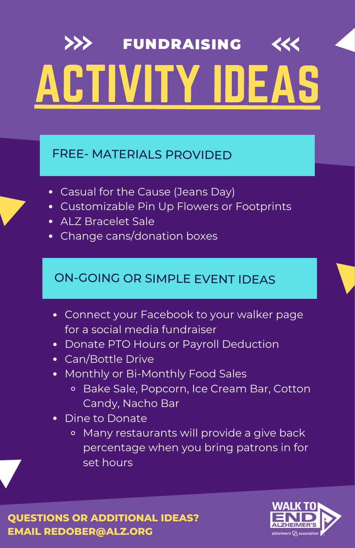#### FREE- MATERIALS PROVIDED

- Casual for the Cause (Jeans Day)
- Customizable Pin Up Flowers or Footprints
- ALZ Bracelet Sale
- Change cans/donation boxes

### ON-GOING OR SIMPLE EVENT IDEAS

- Connect your Facebook to your walker page for a social media fundraiser
- Donate PTO Hours or Payroll Deduction
- Can/Bottle Drive
- Monthly or Bi-Monthly Food Sales
	- Bake Sale, Popcorn, Ice Cream Bar, Cotton Candy, Nacho Bar
- Dine to Donate
	- Many restaurants will provide a give back percentage when you bring patrons in for set hours

**QUESTIONS OR ADDITIONAL IDEAS? EMAIL REDOBER@ALZ.ORG**

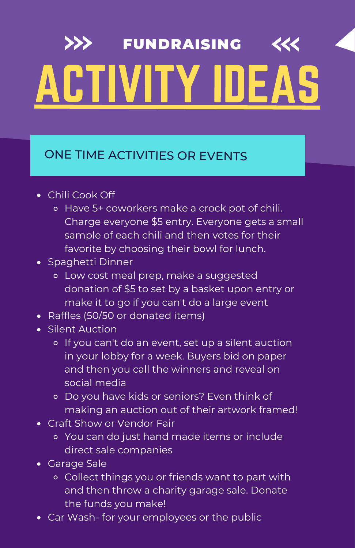### ONE TIME ACTIVITIES OR EVENTS

- Chili Cook Off
	- Have 5+ coworkers make a crock pot of chili. Charge everyone \$5 entry. Everyone gets a small sample of each chili and then votes for their favorite by choosing their bowl for lunch.
- Spaghetti Dinner
	- Low cost meal prep, make a suggested donation of \$5 to set by a basket upon entry or make it to go if you can't do a large event
- Raffles (50/50 or donated items)
- Silent Auction
	- o If you can't do an event, set up a silent auction in your lobby for a week. Buyers bid on paper and then you call the winners and reveal on social media
	- o Do you have kids or seniors? Even think of making an auction out of their artwork framed!
- Craft Show or Vendor Fair
	- You can do just hand made items or include direct sale companies
- Garage Sale
	- Collect things you or friends want to part with and then throw a charity garage sale. Donate the funds you make!
- Car Wash- for your employees or the public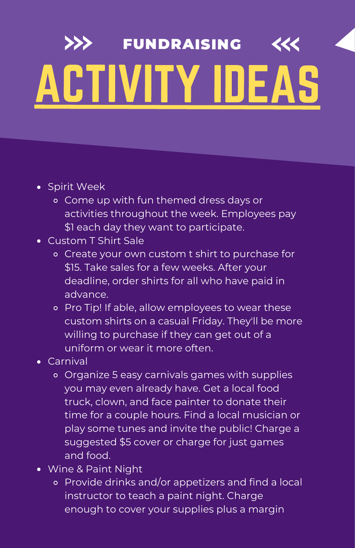- Spirit Week
	- Come up with fun themed dress days or activities throughout the week. Employees pay \$1 each day they want to participate.
- Custom T Shirt Sale
	- Create your own custom t shirt to purchase for \$15. Take sales for a few weeks. After your deadline, order shirts for all who have paid in advance.
	- Pro Tip! If able, allow employees to wear these custom shirts on a casual Friday. They'll be more willing to purchase if they can get out of a uniform or wear it more often.
- Carnival
	- Organize 5 easy carnivals games with supplies you may even already have. Get a local food truck, clown, and face painter to donate their time for a couple hours. Find a local musician or play some tunes and invite the public! Charge a suggested \$5 cover or charge for just games and food.
- Wine & Paint Night
	- Provide drinks and/or appetizers and find a local instructor to teach a paint night. Charge enough to cover your supplies plus a margin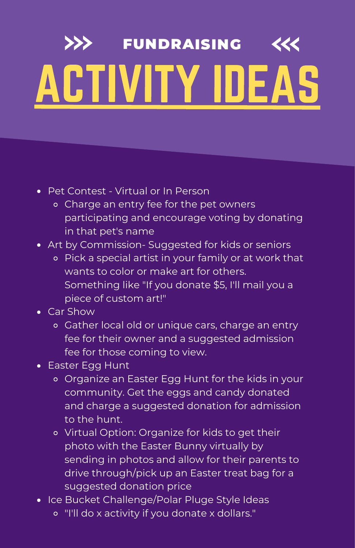- Pet Contest Virtual or In Person
	- Charge an entry fee for the pet owners participating and encourage voting by donating in that pet's name
- Art by Commission- Suggested for kids or seniors
	- Pick a special artist in your family or at work that wants to color or make art for others. Something like "If you donate \$5, I'll mail you a piece of custom art!"
- Car Show
	- Gather local old or unique cars, charge an entry fee for their owner and a suggested admission fee for those coming to view.
- Easter Egg Hunt
	- Organize an Easter Egg Hunt for the kids in your community. Get the eggs and candy donated and charge a suggested donation for admission to the hunt.
	- Virtual Option: Organize for kids to get their photo with the Easter Bunny virtually by sending in photos and allow for their parents to drive through/pick up an Easter treat bag for a suggested donation price
- Ice Bucket Challenge/Polar Pluge Style Ideas
	- "I'll do x activity if you donate x dollars."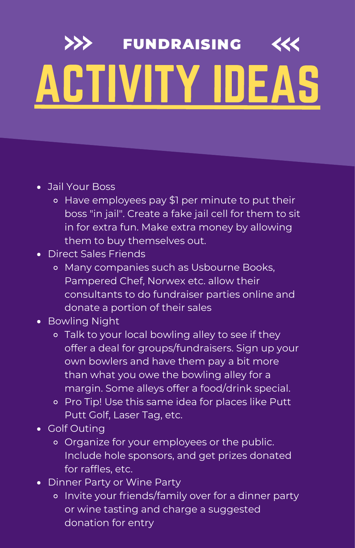- Jail Your Boss
	- Have employees pay \$1 per minute to put their boss "in jail". Create a fake jail cell for them to sit in for extra fun. Make extra money by allowing them to buy themselves out.
- Direct Sales Friends
	- o Many companies such as Usbourne Books, Pampered Chef, Norwex etc. allow their consultants to do fundraiser parties online and donate a portion of their sales
- Bowling Night
	- Talk to your local bowling alley to see if they offer a deal for groups/fundraisers. Sign up your own bowlers and have them pay a bit more than what you owe the bowling alley for a margin. Some alleys offer a food/drink special.
	- Pro Tip! Use this same idea for places like Putt Putt Golf, Laser Tag, etc.
- Golf Outina
	- Organize for your employees or the public. Include hole sponsors, and get prizes donated for raffles, etc.
- Dinner Party or Wine Party
	- o Invite your friends/family over for a dinner party or wine tasting and charge a suggested donation for entry